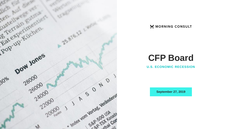

#### MORNING CONSULT

# **CFP Board**

**U.S. ECONOMIC RECESSION**

**September 27, 2019**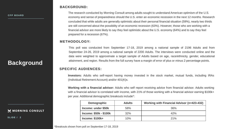## **Background**

M MORNING CONSULT

**SLIDE / 2** 

**BACKGROUND:**

The research conducted by Morning Consult among adults sought to understand American optimism of the U.S. economy and sense of preparedness should the U.S. enter an economic recession in the next 12 months. Research concluded that while adults are generally optimistic about their personal financial situation (59%), nearly two thirds are still concerned about the possibility of an economic recession (63%). However, those who are working with a financial advisor are more likely to say they feel optimistic about the U.S. economy (64%) and to say they feel prepared for a recession (67%).

#### **METHODOLOGY:**

This poll was conducted from September 17-18, 2019 among a national sample of 2196 Adults and from September 24-26, 2019 among a national sample of 2200 Adults. The interviews were conducted online and the data were weighted to approximate a target sample of Adults based on age, race/ethnicity, gender, educational attainment, and region. Results from the full survey have a margin of error of plus or minus 2 percentage points.

#### **SPECIFIC AUDIENCES:**

**Investors:** Adults who self-report having money invested in the stock market, mutual funds, including IRAs (Individual Retirement Account) and/or 401(K)s.

**Working with a financial advisor:** Adults who self report receiving advice from financial advisor. Adults working with a financial advisor is correlated with income, with 21% of those working with a financial advisor earning \$100k+ per year. Additional demographic breakouts include\*:

|                     | Demographic<br>Income: under \$50k<br><b>Income: \$50k - \$100k</b><br>$Income: $100k+$ | <b>Adults</b> | Working with Financial Advisor (n=423-432) |
|---------------------|-----------------------------------------------------------------------------------------|---------------|--------------------------------------------|
| <b>NING CONSULT</b> |                                                                                         | 58%           | 36%                                        |
|                     | 32%<br>42%                                                                              |               |                                            |
|                     |                                                                                         | 10%           | 21%                                        |

\*Breakouts shown from poll on September 17-18, 2019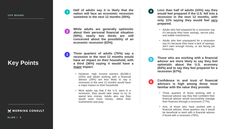**C F P B O A R D**

## **Key Points**

M MORNING CONSULT

**Half of adults say it is likely that the nation will face an economic recession sometime in the next 12 months (55 % ) .**

**While adults are generally optimistic about their personal financial situation (59%), nearly two thirds are still concerned about the possibility of an economic recession (63 % ) .**

**Three quarters of adults (76 % ) say a recession in the next 12 months would have an impact on their household, with a third (36%) saying it would have a major impact .**

- However, high income earners ( \$100k+) (25 % ) and adults working with a financial advisor (29 % ) are less likely to say a recession in the next 12 months would have a major impact on their household.
- Most adults say that if the U.S. were in a recession, they would take steps to try to spend less money . Adults also say they would save more money, utilize their investments and pray .

**Less than half of adults (43 % ) say they would feel prepared if the U . S . fell into a recession in the next 12 months, with only 11 % saying they would feel very prepared .**

- Adults who feel prepared for a recession say it's because they have savings, secure jobs, and stable investments .
- Adults who feel unprepared for a recession say it's because they have a lack of savings, don't earn enough money, or are facing job insecurity .
- **Those who are working with a financial**  $5<sup>1</sup>$ **advisor are more likely to say they feel optimistic about the U . S . economy (64 % ) and to say they feel prepared for a recession (67 % ) .**
- **Confidence in and trust of financial advisors is high among those most familiar with the value they provide .**
	- Three quarters of those working with a financial advisor say they feel confident their financial advisor would successfully manage their finances through a recession (77 % ) .
	- And, of those who have worked with a financial advisor, three quarters say it would be beneficial to work with a financial advisor if faced with a recession (78 % ) .

**S L I D E / 3**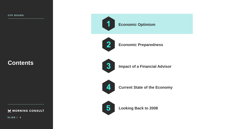**Economic Preparedness**

**Economic Optimism**



**Impact of a Financial Advisor**



**Current State of the Economy**



**5 Looking Back to 2008**

**Contents**

MORNING CONSULT

**S L I D E / 4**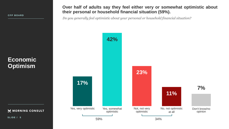MORNING CONSULT

**SLIDE / 5** 

#### **Over half of adults say they feel either very or somewhat optimistic about their personal or household financial situation (59%).**

*Do you generally feel optimistic about your personal or household financial situation?*

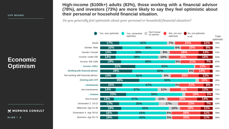## **Economic Optimism**

M MORNING CONSULT

**S L I D E / 6**

**High-income (\$100k+) adults (83%), those working with a financial advisor (78%), and investors (73%) are more likely to say they feel optimistic about their personal or household financial situation.**

*Do you generally feel optimistic about your personal or household financial situation?*

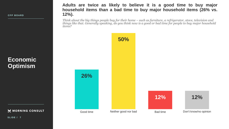**Adults are twice as likely to believe it is a good time to buy major household items than a bad time to buy major household items (26% vs. 12%).**

*Think about the big things people buy for their home – such as furniture, a refrigerator, stove, television and things like that. Generally speaking, do you think now is a good or bad time for people to buy major household items?*



**Economic Optimism**

M MORNING CONSULT

**S L I D E / 7**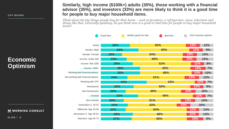## **Economic Optimism**

M MORNING CONSULT

**S L I D E / 8**

#### **Similarly, high income (\$100k+) adults (35%), those working with a financial advisor (35%), and investors (33%) are more likely to think it is a good time for people to buy major household items.**

*Think about the big things people buy for their home – such as furniture, a refrigerator, stove, television and things like that. Generally speaking, do you think now is a good or bad time for people to buy major household items?*

|                                    | Good time  | Neither good nor bad | <b>Bad time</b> | Don't know/no opinion |     |
|------------------------------------|------------|----------------------|-----------------|-----------------------|-----|
| Adults                             | 26%        | 50%                  |                 | 12%                   | 12% |
| Gender: Male                       | 34%        |                      | 45%             | 12%                   | 9%  |
| Gender: Female                     | 19%        | 54%                  |                 | 13%                   | 15% |
|                                    |            |                      |                 |                       |     |
| Income: Under 50k                  | 23%        | 49%                  |                 | 12%                   | 15% |
| Income: 50k-100k                   | 28%        | 52%                  |                 | 11%                   | 8%  |
| Income: 100k+                      | 35%        |                      | 45%             | 14%                   | 7%  |
| Working with financial advisor     | 35%        |                      | 46%             | 10%                   | 10% |
| Not working with financial advisor | 24%        | 51%                  |                 | 13%                   | 13% |
| Working with CFP                   | 41%        |                      | 43%             | <b>10%</b>            | 7%  |
| Homeowner                          | 29%        | 50%                  |                 | 12%                   | 9%  |
| Non-homeowner                      | 22%        | 49%                  |                 | 13%                   | 16% |
| Investor                           | 33%        |                      | 49%             | 11%                   | 7%  |
| Non-investor                       | 20%        | 51%                  |                 | 13%                   | 16% |
| Generation Z: 18-22                | 24%        | 43%                  | 12%             | 20%                   |     |
| Millennial: Age 23-38              | 22%        | 54%                  |                 | 11%                   | 13% |
| Generation X: Age 39-54            | 28%        | 48%                  |                 | 11%                   | 13% |
| Boomers: Age 55-73                 | <b>27%</b> | 49%                  |                 | 15%                   | 9%  |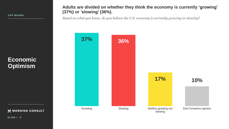## **Economic Optimism**

MORNING CONSULT

#### **Adults are divided on whether they think the economy is currently 'growing' (37%) or 'slowing' (36%).**

*Based on what you know, do you believe the U.S. economy is currently growing or slowing?*



**S L I D E / 9**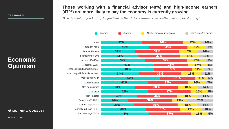## **Economic Optimism**

MORNING CONSULT

**S L I D E / 1 0**

#### **Those working with a financial advisor (48%) and high-income earners (47%) are more likely to say the economy is currently growing.**

*Based on what you know, do you believe the U.S. economy is currently growing or slowing?*

|                                    | Growing    | Slowing<br>Neither growing nor slowing |     |     |            | Don't know/no opinion |     |
|------------------------------------|------------|----------------------------------------|-----|-----|------------|-----------------------|-----|
| Adults                             | <b>37%</b> |                                        | 36% |     | <b>17%</b> |                       | 10% |
| Gender: Male                       |            | 43%                                    |     | 34% |            | <b>17%</b>            | 6%  |
| Gender: Female                     | 31%        |                                        | 39% |     | 17%        |                       | 14% |
| Income: Under 50k                  | 33%        |                                        | 37% |     | 17%        |                       | 13% |
| Income: 50k-100k                   |            | 39%                                    |     | 37% |            | <b>17%</b>            | 7%  |
| Income: 100k+                      |            | 47%                                    |     | 31% |            | <b>17%</b>            | 6%  |
| Working with financial advisor     |            | 48%                                    |     | 33% |            | 11%                   | 8%  |
| Not working with financial advisor | 34%        |                                        | 37% |     | <b>18%</b> |                       | 11% |
| Working with CFP                   |            | 52%                                    |     | 31% |            | 11%                   | 5%  |
| Homeowner                          |            | 42%                                    |     | 35% |            | <b>16%</b>            | 7%  |
| Non-homeowner                      | 31%        |                                        | 38% |     | 18%        |                       | 14% |
| Investor                           |            | 42%                                    |     | 37% |            | <b>15%</b>            | 5%  |
| Non-investor                       | 32%        |                                        | 36% |     | <b>18%</b> |                       | 14% |
| Generation Z: 18-22                | 24%        |                                        | 39% | 13% |            | 23%                   |     |
| Millennial: Age 23-38              | 29%        |                                        | 39% |     | 18%        |                       | 14% |
| Generation X: Age 39-54            |            | 40%                                    | 30% |     | 19%        |                       | 10% |
| Boomers: Age 55-73                 |            | 43%                                    |     | 37% |            | <b>15%</b>            | 5%  |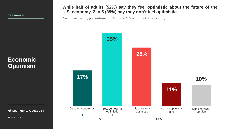**While half of adults (52%) say they feel optimistic about the future of the U.S. economy, 2 in 5 (39%) say they don't feel optimistic.**

*Do you generally feel optimistic about the future of the U.S. economy?*

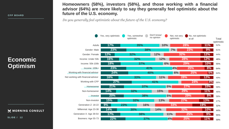## **Economic Optimism**

M MORNING CONSULT

**S L I D E / 1 2**

**Homeowners (58%), investors (58%), and those working with a financial advisor (64%) are more likely to say they generally feel optimistic about the future of the U.S. economy.**

*Do you generally feel optimistic about the future of the U.S. economy?*

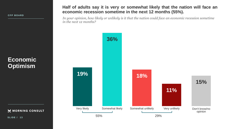**Half of adults say it is very or somewhat likely that the nation will face an economic recession sometime in the next 12 months (55%).**

*In your opinion, how likely or unlikely is it that the nation could face an economic recession sometime in the next 12 months?*



**SLIDE / 13**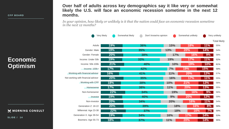## **Economic Optimism**

MORNING CONSULT

**S L I D E / 1 4**

**Over half of adults across key demographics say it like very or somewhat likely the U.S. will face an economic recession sometime in the next 12 months.**

*In your opinion, how likely or unlikely is it that the nation could face an economic recession sometime in the next 12 months?*

|                                    | Very likely | Somewhat likely | Don't know/no opinion |     | Somewhat unlikely |            | Very unlikely       |
|------------------------------------|-------------|-----------------|-----------------------|-----|-------------------|------------|---------------------|
|                                    |             |                 |                       |     |                   |            | <b>Total likely</b> |
| Adults                             | 19%         |                 | 36%                   | 15% | 18%               | 11%        | 55%                 |
| Gender: Male                       | 19%         |                 | 35%                   | 13% | <b>20%</b>        | 14%        | 54%                 |
| Gender: Female                     | 20%         |                 | 38%                   | 17% | 16%               | 9%         | 58%                 |
| Income: Under 50k                  | 19%         |                 | 33%                   | 19% | <b>17%</b>        | 11%        | 52%                 |
| Income: 50k-100k                   | 21%         |                 | 40%                   | 10% | <b>19%</b>        | $10\%$     | 61%                 |
| $Income:100k+$                     | 17%         |                 | 42%                   | 7%  | <b>19%</b>        | 15%        | 59%                 |
| Working with financial advisor     | 16%         |                 | 41%                   | 11% | <b>20%</b>        | 12%        | 57%                 |
| Not working with financial advisor | 20%         |                 | 35%                   | 16% | 17%               | 11%        | 55%                 |
| <b>Working with CFP</b>            | 18%         |                 | 38%                   | 10% | 21%               | 13%        | 56%                 |
| Homeowner                          | 17%         |                 | 38%                   | 11% | 20%               | 13%        | 55%                 |
| Non-homeowner                      | 22%         |                 | 34%                   | 19% | <b>16%</b>        | 9%         | 56%                 |
| Investor                           | 19%         |                 | 40%                   | 9%  | <b>20%</b>        | 12%        | 59%                 |
| Non-investor                       | 20%         |                 | 34%                   | 20% | 16%               | 11%        | 54%                 |
| Generation Z: 18-22                | 20%         |                 | 39%                   | 18% | 16%               | 8%         | 59%                 |
| Millennial: Age 23-38              | 22%         |                 | <b>37%</b>            |     | 18%<br>16%        | 7%         | 59%                 |
| Generation X: Age 39-54            | 19%         |                 | 34%                   | 16% | <b>17%</b>        | 14%        | 53%                 |
| Boomers: Age 55-73                 | 18%         |                 | 37%                   | 11% | 20%               | <b>14%</b> | 55%                 |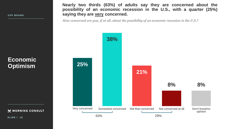**Nearly two thirds (63%) of adults say they are concerned about the possibility of an economic recession in the U.S., with a quarter (25%) saying they are very concerned.**

*How concerned are you, if at all, about the possibility of an economic recession in the U.S.?*



## **Economic Optimism**

MORNING CONSULT

**SLIDE / 15**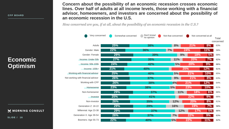## **Economic Optimism**

M MORNING CONSULT

**S L I D E / 1 6**

**Concern about the possibility of an economic recession crosses economic lines. Over half of adults at all income levels, those working with a financial advisor, homeowners, and investors are concerned about the possibility of an economic recession in the U.S.**

*How concerned are you, if at all, about the possibility of an economic recession in the U.S.?*

| Very concerned                     | Somewhat concerned | Don't know/<br>no opinion | Not that concerned | Not concerned at all |     | Total<br>concerned |
|------------------------------------|--------------------|---------------------------|--------------------|----------------------|-----|--------------------|
| Adults                             | 25%                | <b>38%</b>                | 8%                 | 21%                  | 8%  | 63%                |
| Gender: Male                       | 22%                | 36%                       | 7%                 | 24%                  | 11% | 58%                |
| Gender: Female                     | 29%                | 39%                       | 9%                 | 18%                  | 5%  | 68%                |
| Income: Under 50k                  | 27%                | 35%                       | 11%                | <b>20%</b>           | 7%  | 62%                |
| Income: 50k-100k                   | 24%                | 42%                       | 5%                 | 20%                  | 9%  | 66%                |
| $Income: 100k+$                    | 21%                | 40%                       |                    | 25%                  | 12% | 61%                |
| Working with financial advisor     | 25%                | 40%                       | 5%                 | <b>21%</b>           | 10% | 65%                |
| Not working with financial advisor | 26%                | 37%                       | 9%                 | 21%                  | 8%  | 63%                |
| Working with CFP                   | 26%                | 38%                       | 4%                 | 21%                  | 12% | 64%                |
| Homeowner                          | 23%                | 38%                       | 5%                 | 23%                  | 10% | 61%                |
| Non-homeowner                      | 29%                | 37%                       | 11%                | 18%                  | 6%  | 66%                |
| Investor                           | 25%                | 41%                       |                    | 22%                  | 9%  | 66%                |
| Non-investor                       | 26%                | 35%                       | 12%                | 20%                  | 8%  | 61%                |
| Generation Z: 18-22                | 29%                | 29%                       | 16%                | 19%                  | 7%  | 58%                |
| Millennial: Age 23-38              | 29%                | 37%                       | 12%                | 17%                  | 5%  | 66%                |
| Generation X: Age 39-54            | 26%                | 37%                       | 7%                 | 22%                  | 9%  | 63%                |
| Boomers: Age 55-73                 | 22%                | 40%                       | 5%                 | 22%                  | 11% | 62%                |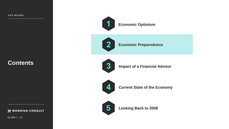

**Economic Optimism**



**Economic Preparedness**



**Impact of a Financial Advisor**



**Current State of the Economy**



**5 Looking Back to 2008**

**Contents**

MORNING CONSULT

**S L I D E / 1 7**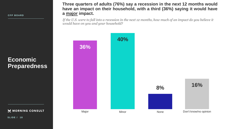**Economic Preparedness**

MORNING CONSULT

**Three quarters of adults (76%) say a recession in the next 12 months would have an impact on their household, with a third (36%) saying it would have a major impact.**

*If the U.S. were to fall into a recession in the next 12 months, how much of an impact do you believe it would have on you and your household?*



**S L I D E / 1 8**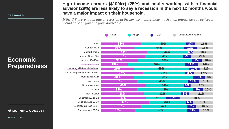**Economic Preparedness**

MORNING CONSULT

**S L I D E / 1 9**

**High income earners (\$100k+) (25%) and adults working with a financial advisor (29%) are less likely to say a recession in the next 12 months would have a major impact on their household.**

*If the U.S. were to fall into a recession in the next 12 months, how much of an impact do you believe it would have on you and your household?*

|                                    | Major      | Minor | None       |            | Don't know/no opinion |            |
|------------------------------------|------------|-------|------------|------------|-----------------------|------------|
|                                    |            |       |            |            |                       |            |
| Adults                             | 36%        |       | <b>40%</b> |            | 8%                    | <b>16%</b> |
| Gender: Male                       | 30%        |       | 44%        |            | 12%                   | <b>15%</b> |
| Gender: Female                     | 41%        |       |            | <b>36%</b> | 5%                    | <b>18%</b> |
| Income: Under 50k                  | <b>39%</b> |       | 34%        |            | $7\%$                 | <b>20%</b> |
| Income: 50k-100k                   | 33%        |       | 48%        |            |                       | 10%<br>9%  |
| Income: 100k+                      | 25%        |       | <b>50%</b> |            | 12%                   | 14%        |
| Working with financial advisor     | <b>29%</b> |       | 49%        |            | $10\%$                | 12%        |
| Not working with financial advisor | 37%        |       | 38%        |            | 8%                    | 17%        |
| <b>Working with CFP</b>            | 30%        |       | 53%        |            |                       | 8%<br>10%  |
| Homeowner                          | 32%        |       | 45%        |            | 10%                   | 13%        |
| Non-homeowner                      | 40%        |       | 34%        |            | $6\%$                 | <b>20%</b> |
| Investor                           | 32%        |       | 49%        |            |                       | 10%<br>9%  |
| Non-investor                       | 38%        |       | 32%        |            | $8\%$                 | 21%        |
| Generation Z: 18-22                | 40%        |       | 18%        | 12%        |                       | 30%        |
| Millennial: Age 23-38              | 43%        |       |            | <b>33%</b> | 6%                    | <b>18%</b> |
| Generation X: Age 39-54            | 35%        |       | 42%        |            | 7%                    | 16%        |
| Boomers: Age 55-73                 | 30%        |       | 46%        |            | 11%                   | 13%        |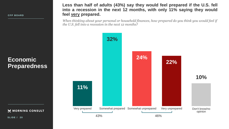**Less than half of adults (43%) say they would feel prepared if the U.S. fell into a recession in the next 12 months, with only 11% saying they would feel very prepared.**

*When thinking about your personal or household finances, how prepared do you think you would feel if the U.S. fell into a recession in the next 12 months?*



**SLIDE / 20**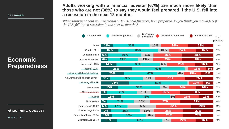## **Economic Preparedness**

M MORNING CONSULT

**S L I D E / 2 1**

#### **Adults working with a financial advisor (67%) are much more likely than those who are not (38%) to say they would feel prepared if the U.S. fell into a recession in the next 12 months.**

*When thinking about your personal or household finances, how prepared do you think you would feel if the U.S. fell into a recession in the next 12 months?*

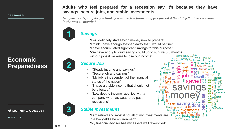## **Economic Preparedness**

M MORNING CONSULT

**S L I D E / 2 2**



#### **Adults who feel prepared for a recession say it's because they have savings, secure jobs, and stable investments.**

*In a few words, why do you think you would feel financially prepared if the U.S. fell into a recession in the next 12 months?* 



- - "I will definitely start saving money now to prepare"
- "I think I have enough stashed away that I would be fine"
- "I have accumulated significant savings for this purpose"
- "We have enough liquid savings build up to survive 3-6 months without jobs if we were to lose our income"

#### *Secure Job*

- "Steady income and savings"
- "Secure job and savings"
- "My job is independent of the financial status of the nation"
- "I have a stable income that should not be affected."
- "Low debt to income ratio, job with a company who has weathered past recessions"

#### *Stable Investments*

- "I am retired and most if not all of my investments are in a low yield safe environment"
- "My financial advisor has my assets well diversified"

 $n = 991$ 

3

somethingalso<sup>pa</sup> budget always retirement weather paidneed  $\Phi$   $\overline{a}$  financially ◘ plan day<br>day<br>**happen** lot household rs savınd pense g economic funds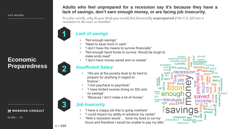## **Economic Preparedness**

M MORNING CONSULT

**S L I D E / 2 3**

#### **Adults who feel unprepared for a recession say it's because they have a lack of savings, don't earn enough money, or are facing job insecurity.**

*In a few words, why do you think you would feel financially unprepared if the U.S. fell into a recession in the next 12 months?* 



### *Lack of savings*

- "Not enough savings"
- "Need to save more in cash"
- "I don't have the means to survive financially"
- "Not enough liquid funds to survive. Would be tough to make ends meet"
- "I don't have money saved and no assets"

#### *Insufficient Salary*

- "We are at the poverty level to its hard to prepare for anything in regard to finance."
- "I live paycheck to paycheck"
- "I have limited income (living on SS) and no savings"
- "Because I don't make a lot of money"

#### *Job Insecurity*

- "I have a crappy job that is going nowhere"
- "I could impact my ability to advance my career"
- "Well a recession would … force my boss to cut my hours and therefore I would be unable to pay my bills."

amount months disabledanything disability good ဥ 욌 social  $\cos \frac{\pi}{6}$ home due าusband lack financial **Decause** right prepared emergency

 $n = 999$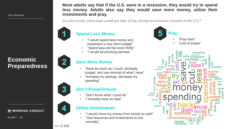**Economic Preparedness**







#### **Most adults say that if the U.S. were in a recession, they would try to spend less money. Adults also say they would save more money, utilize their investments and pray.**

*In a few words, what steps would you take, if any, during an economic recession in the U.S.?* 

*Spend Less Money*

- "I would spend less money and implement a very strict budget"
- "Spend less and be more thrifty"
- "I would be pinching pennies"

#### *Save More Money*

- "Save as much as I could, stockpile, budget, and use minimal of what I have"
- "Increase my savings, decrease my spending"

#### *Don't Know/Unsure*

- "Don't know what I could do"
- "I honestly have no idea"

#### *Utilize Investments*

- "I would move my money from stocks to cash"
- "Use resources and investments to live normally"

*Pray* • "Pray hard" "Lots of prayer" probablv aet water navbe frugal tighten Φ

 $n = 2,193$ 

MORNING CONSULT

**S L I D E / 2 4**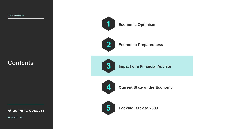**Contents**

MORNING CONSULT

**S L I D E / 2 5**

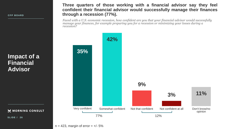**Three quarters of those working with a financial advisor say they feel confident their financial advisor would successfully manage their finances through a recession (77%).**

*Faced with a U.S. economic recession, how confident are you that your financial advisor would successfully manage your finances, for example preparing you for a recession or minimizing your losses during a recession?*



M MORNING CONSULT

**Impact of a** 

**Financial** 

**Advisor**

**S L I D E / 2 6**

 $n = 423$ , margin of error  $= +/- 5\%$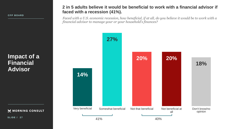#### **2 in 5 adults believe it would be beneficial to work with a financial advisor if faced with a recession (41%).**

*Faced with a U.S. economic recession, how beneficial, if at all, do you believe it would be to work with a financial advisor to manage your or your household's finances?*



**Impact of a Financial Advisor**

MORNING CONSULT

**SLIDE / 27**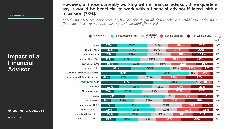**Impact of a Financial Advisor**

M MORNING CONSULT

**S L I D E / 2 8**

#### **However, of those currently working with a financial advisor, three quarters say it would be beneficial to work with a financial advisor if faced with a recession (78%).**

*Faced with a U.S. economic recession, how beneficial, if at all, do you believe it would be to work with a financial advisor to manage your or your household's finances?*

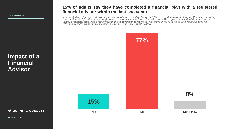#### **15% of adults say they have completed a financial plan with a registered financial advisor within the last two years.**

*As a reminder, a financial advisor is a professional who provides clients with financial guidance and planning.Financial planning is an evaluation of a client's current finances to help reach their future financial goals.Have you completed, within the last two years, a financial plan with a registered financial advisor that covers at least three or more areas of your financial life (e.g. retirement, college planning, cash flow/spending, insurance, investments)?*



**8%**

M MORNING CONSULT

**Impact of a** 

**Financial** 

**Advisor**

**S L I D E / 2 9**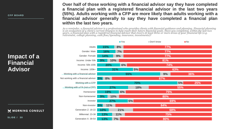## **Impact of a Financial Advisor**

Not wo

M MORNING CONSULT

**S L I D E / 3 0**

**Over half of those working with a financial advisor say they have completed a financial plan with a registered financial advisor in the last two years (55%). Adults working with a CFP are more likely than adults working with a financial advisor generally to say they have completed a financial plan within the last two years.**

*As a reminder, a financial advisor is a professional who provides clients with financial guidance and planning. Financial planning is an evaluation of a client's current finances to help reach their future financial goals. Have you completed, within the last two years, a financial plan with a registered financial advisor that covers at least three or more areas of your financial life (e.g. retirement, college planning, cash flow/spending, insurance, investments)?*

|                                  |                  | $\blacksquare$ Yes |     | Don't know | N <sub>O</sub> |     |
|----------------------------------|------------------|--------------------|-----|------------|----------------|-----|
| Adults                           | 15%              | 8%                 |     | 77%        |                |     |
| Gender: Male                     | 16%              | 7%                 |     | 77%        |                |     |
| Gender: Female                   | 14%              | 9%                 |     | 77%        |                |     |
| Income: Under 50k                | 10%<br>9%        |                    |     | 81%        |                |     |
| Income: 50k-100k                 | 20%              | 6%                 |     | 74%        |                |     |
| Income: 100k+                    |                  | 31%                | 5%  |            | 63%            |     |
| Working with a financial advisor |                  |                    | 55% | 9%         |                | 36% |
| working with a financial advisor | 8%<br>5%         |                    |     | 87%        |                |     |
| Working with a CFP               |                  |                    | 70% |            | 5%             | 25% |
| Working with a FA (not a CFP)    | 27%              |                    | 18% |            | 55%            |     |
| Homeowner                        | 19%              | 6%                 |     | 75%        |                |     |
| Non-homeowner                    | 10%<br>9%        |                    |     | 80%        |                |     |
| Investor                         | <b>27%</b>       |                    | 5%  |            | 69%            |     |
| Non-investor                     | <b>11%</b><br>5% |                    |     | 84%        |                |     |
| Generation Z: 18-22              | 10%              | 21%                |     | 68%        |                |     |
| Millennial: 23-38                | 13%              | <b>11%</b>         |     | 75%        |                |     |
| Generation X: 39-54              | 13%              | 7%                 |     | 80%        |                |     |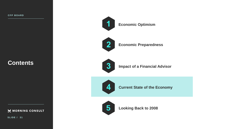

**Economic Optimism**



**Economic Preparedness**



**Impact of a Financial Advisor**



**Current State of the Economy**



**5 Looking Back to 2008**

## **Contents**

MORNING CONSULT

**S L I D E / 3 1**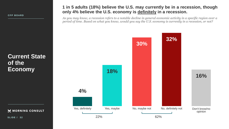## **Current State of the Economy**

M MORNING CONSULT

**SLIDE / 32** 

#### **1 in 5 adults (18%) believe the U.S. may currently be in a recession, though only 4% believe the U.S. economy is definitely in a recession.**

*As you may know, a recession refers to a notable decline in general economic activity in a specific region over a period of time. Based on what you know, would you say the U.S. economy is currently in a recession, or not?*

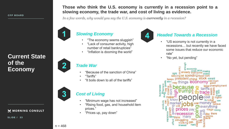

#### M MORNING CONSULT

**S L I D E / 3 3**



*In a few words, why would you say the U.S. economy is currently in a recession?* 



#### *Slowing Economy*

- "The economy seems sluggish"
- "Lack of consumer activity, high number of retail bankruptcies"
- "Inflation is dooming the world"

#### *Trade War*

- "Because of the sanction of China"
- "Tariffs"
- "It boils down to all of the tariffs"

### *Cost of Living*

- "Minimum wage has not increased"
- "Rising food, gas, and household item prices."
- "Prices up, pay down"



#### *Headed Towards a Recession*

- "US economy is not currently in a recessions… but recently we have faced some issues that reduce our economic rate"
- "No yet, but pending"

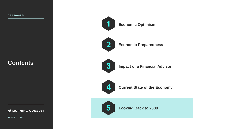

**Economic Optimism**



**Economic Preparedness**



**Impact of a Financial Advisor**



**Current State of the Economy**



**5 Looking Back to 2008**

**Contents**

MORNING CONSULT

**S L I D E / 3 4**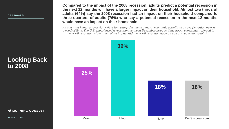**Looking Back to 2008**

M MORNING CONSULT

**SLIDE** / 35

**Compared to the impact of the 2008 recession, adults predict a potential recession in the next 12 months will have a larger impact on their household. Almost two thirds of adults (64%) say the 2008 recession had an impact on their household compared to three quarters of adults (76%) who say a potential recession in the next 12 months would have an impact on their household.**

*As you may know, a recession refers to a sharp decline in general economic activity in a specific region over a period of time. The U.S. experienced a recession between December 2007 to June 2009, sometimes referred to as the 2008 recession. How much of an impact did the 2008 recession have on you and your household?*

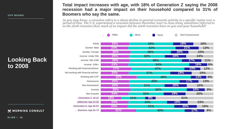**Looking Back to 2008**

M MORNING CONSULT

**S L I D E / 3 6**

#### **Total impact increases with age, with 18% of Generation Z saying the 2008 recession had a major impact on their household compared to 31% of Boomers who say the same.**

*As you may know, a recession refers to a sharp decline in general economic activity in a specific region over a period of time. The U.S. experienced a recession between December 2007 to June 2009, sometimes referred to as the 2008 recession.How much of an impact did the 2008 recession have on you and your household?*

|                                    | Major      | Minor |            | None       |     | Don't know/unsure |            |            |
|------------------------------------|------------|-------|------------|------------|-----|-------------------|------------|------------|
| Adults                             | <b>25%</b> |       | <b>39%</b> |            |     | 18%               | <b>18%</b> |            |
| Gender: Male                       | <b>24%</b> |       | 42%        |            |     | 21%               |            | 13%        |
| Gender: Female                     | <b>26%</b> |       | 36%        |            | 16% |                   | 22%        |            |
| Income: Under 50k                  | <b>25%</b> |       | 32%        |            | 19% |                   | 24%        |            |
| Income: 50k-100k                   | <b>26%</b> |       | 46%        |            |     | 17%               |            | 11%        |
| Income: $100k+$                    | 24%        |       |            | <b>54%</b> |     |                   | 16%        | 6%         |
| Working with financial advisor     | 27%        |       | <b>47%</b> |            |     | 14%               |            | 12%        |
| Not working with financial advisor | <b>25%</b> |       | 37%        |            | 19% |                   | 19%        |            |
| Working with CFP                   | 32%        |       |            | 48%        |     |                   | <b>14%</b> | 6%         |
| Homeowner                          | <b>25%</b> |       | 45%        |            |     | 17%               |            | 13%        |
| Non-homeowner                      | 25%        |       | 31%        |            | 20% |                   | 24%        |            |
| Investor                           | <b>26%</b> |       |            | 50%        |     |                   | <b>16%</b> | 8%         |
| Non-investor                       | 24%        |       | 32%        |            | 19% |                   | <b>25%</b> |            |
| Generation Z: 18-22                | <b>18%</b> | 21%   | 9%         |            |     | 51%               |            |            |
| Millennial: Age 23-38              | <b>24%</b> |       | 34%        |            | 19% |                   | 23%        |            |
| Generation X: Age 39-54            | 24%        |       | 41%        |            |     | <b>20%</b>        |            | <b>15%</b> |
| Boomers: Age 55-73                 | 31%        |       |            | 43%        |     | 17%               |            | 8%         |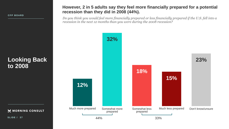#### **However, 2 in 5 adults say they feel more financially prepared for a potential recession than they did in 2008 (44%).**

*Do you think you would feel more financially prepared or less financially prepared if the U.S. fell into a recession in the next 12 months than you were during the 2008 recession?*

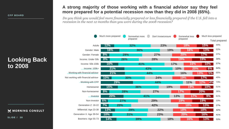## **Looking Back to 2008**

M MORNING CONSULT

**S L I D E / 3 8**

#### **A strong majority of those working with a financial advisor say they feel more prepared for a potential recession now than they did in 2008 (65%).**

*Do you think you would feel more financially prepared or less financially prepared if the U.S. fell into a recession in the next 12 months than you were during the 2008 recession?*